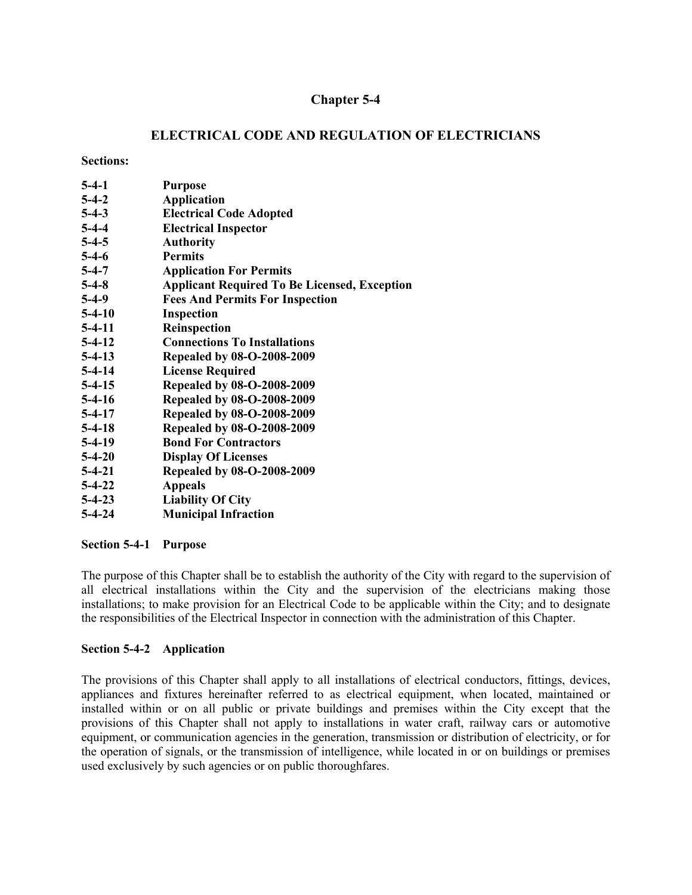# **Chapter 5-4**

# **ELECTRICAL CODE AND REGULATION OF ELECTRICIANS**

#### **Sections:**

| $5-4-1$      | <b>Purpose</b>                                      |
|--------------|-----------------------------------------------------|
| $5-4-2$      | <b>Application</b>                                  |
| $5-4-3$      | <b>Electrical Code Adopted</b>                      |
| $5-4-4$      | <b>Electrical Inspector</b>                         |
| $5-4-5$      | <b>Authority</b>                                    |
| $5-4-6$      | <b>Permits</b>                                      |
| $5-4-7$      | <b>Application For Permits</b>                      |
| $5-4-8$      | <b>Applicant Required To Be Licensed, Exception</b> |
| $5-4-9$      | <b>Fees And Permits For Inspection</b>              |
| $5-4-10$     | <b>Inspection</b>                                   |
| $5-4-11$     | <b>Reinspection</b>                                 |
| $5-4-12$     | <b>Connections To Installations</b>                 |
| $5-4-13$     | Repealed by 08-O-2008-2009                          |
| $5-4-14$     | <b>License Required</b>                             |
| $5-4-15$     | <b>Repealed by 08-O-2008-2009</b>                   |
| $5-4-16$     | <b>Repealed by 08-O-2008-2009</b>                   |
| $5-4-17$     | Repealed by 08-O-2008-2009                          |
| $5-4-18$     | Repealed by 08-O-2008-2009                          |
| $5-4-19$     | <b>Bond For Contractors</b>                         |
| $5-4-20$     | <b>Display Of Licenses</b>                          |
| $5 - 4 - 21$ | Repealed by 08-O-2008-2009                          |
| $5 - 4 - 22$ | <b>Appeals</b>                                      |
| $5 - 4 - 23$ | <b>Liability Of City</b>                            |
| 5-4-24       | <b>Municipal Infraction</b>                         |

## **Section 5-4-1 Purpose**

The purpose of this Chapter shall be to establish the authority of the City with regard to the supervision of all electrical installations within the City and the supervision of the electricians making those installations; to make provision for an Electrical Code to be applicable within the City; and to designate the responsibilities of the Electrical Inspector in connection with the administration of this Chapter.

## **Section 5-4-2 Application**

The provisions of this Chapter shall apply to all installations of electrical conductors, fittings, devices, appliances and fixtures hereinafter referred to as electrical equipment, when located, maintained or installed within or on all public or private buildings and premises within the City except that the provisions of this Chapter shall not apply to installations in water craft, railway cars or automotive equipment, or communication agencies in the generation, transmission or distribution of electricity, or for the operation of signals, or the transmission of intelligence, while located in or on buildings or premises used exclusively by such agencies or on public thoroughfares.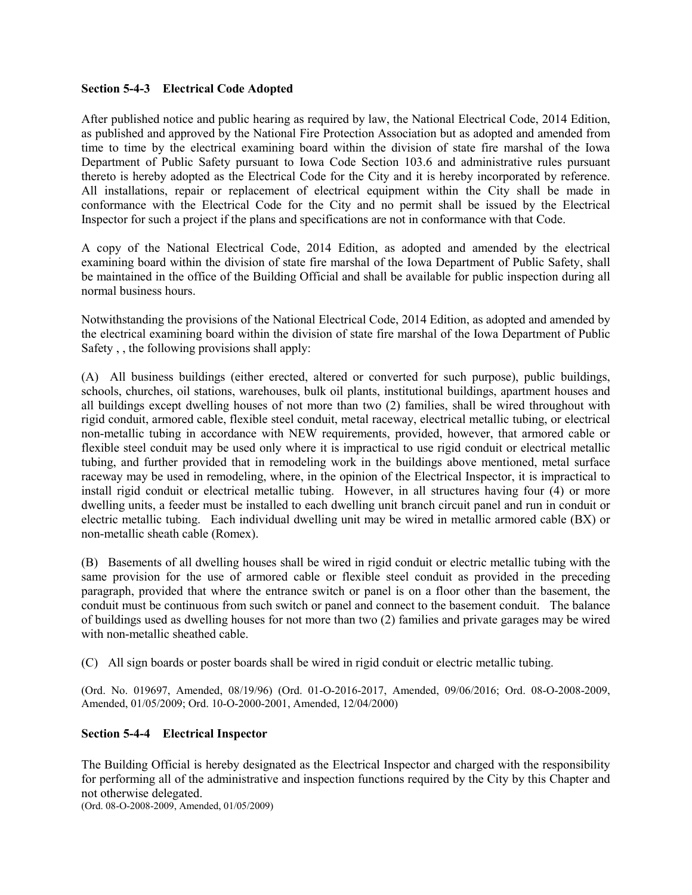## **Section 5-4-3 Electrical Code Adopted**

After published notice and public hearing as required by law, the National Electrical Code, 2014 Edition, as published and approved by the National Fire Protection Association but as adopted and amended from time to time by the electrical examining board within the division of state fire marshal of the Iowa Department of Public Safety pursuant to Iowa Code Section 103.6 and administrative rules pursuant thereto is hereby adopted as the Electrical Code for the City and it is hereby incorporated by reference. All installations, repair or replacement of electrical equipment within the City shall be made in conformance with the Electrical Code for the City and no permit shall be issued by the Electrical Inspector for such a project if the plans and specifications are not in conformance with that Code.

A copy of the National Electrical Code, 2014 Edition, as adopted and amended by the electrical examining board within the division of state fire marshal of the Iowa Department of Public Safety, shall be maintained in the office of the Building Official and shall be available for public inspection during all normal business hours.

Notwithstanding the provisions of the National Electrical Code, 2014 Edition, as adopted and amended by the electrical examining board within the division of state fire marshal of the Iowa Department of Public Safety , , the following provisions shall apply:

(A) All business buildings (either erected, altered or converted for such purpose), public buildings, schools, churches, oil stations, warehouses, bulk oil plants, institutional buildings, apartment houses and all buildings except dwelling houses of not more than two (2) families, shall be wired throughout with rigid conduit, armored cable, flexible steel conduit, metal raceway, electrical metallic tubing, or electrical non-metallic tubing in accordance with NEW requirements, provided, however, that armored cable or flexible steel conduit may be used only where it is impractical to use rigid conduit or electrical metallic tubing, and further provided that in remodeling work in the buildings above mentioned, metal surface raceway may be used in remodeling, where, in the opinion of the Electrical Inspector, it is impractical to install rigid conduit or electrical metallic tubing. However, in all structures having four (4) or more dwelling units, a feeder must be installed to each dwelling unit branch circuit panel and run in conduit or electric metallic tubing. Each individual dwelling unit may be wired in metallic armored cable (BX) or non-metallic sheath cable (Romex).

(B) Basements of all dwelling houses shall be wired in rigid conduit or electric metallic tubing with the same provision for the use of armored cable or flexible steel conduit as provided in the preceding paragraph, provided that where the entrance switch or panel is on a floor other than the basement, the conduit must be continuous from such switch or panel and connect to the basement conduit. The balance of buildings used as dwelling houses for not more than two (2) families and private garages may be wired with non-metallic sheathed cable.

(C) All sign boards or poster boards shall be wired in rigid conduit or electric metallic tubing.

(Ord. No. 019697, Amended, 08/19/96) (Ord. 01-O-2016-2017, Amended, 09/06/2016; Ord. 08-O-2008-2009, Amended, 01/05/2009; Ord. 10-O-2000-2001, Amended, 12/04/2000)

## **Section 5-4-4 Electrical Inspector**

The Building Official is hereby designated as the Electrical Inspector and charged with the responsibility for performing all of the administrative and inspection functions required by the City by this Chapter and not otherwise delegated.

(Ord. 08-O-2008-2009, Amended, 01/05/2009)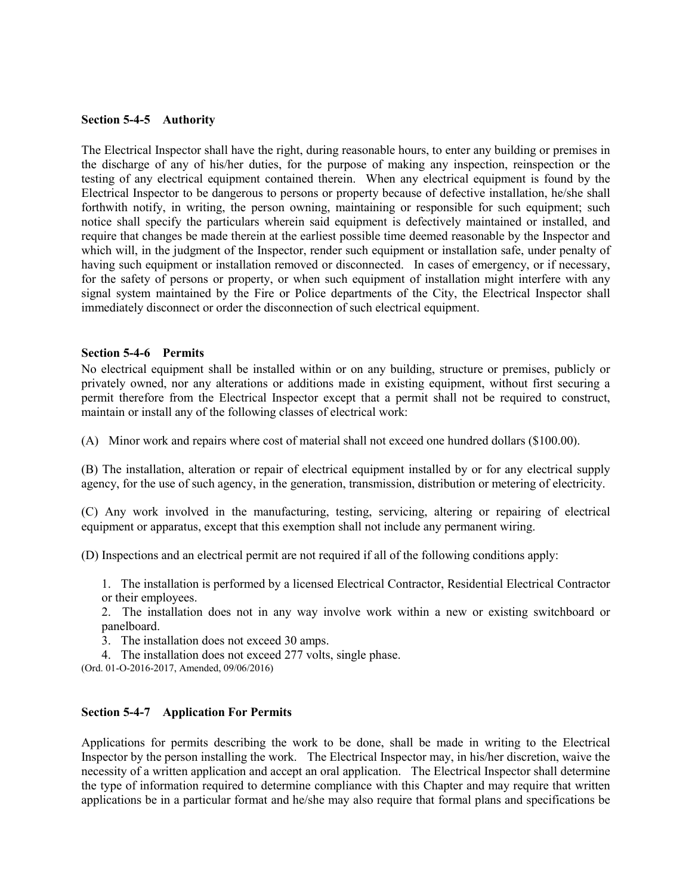#### **Section 5-4-5 Authority**

The Electrical Inspector shall have the right, during reasonable hours, to enter any building or premises in the discharge of any of his/her duties, for the purpose of making any inspection, reinspection or the testing of any electrical equipment contained therein. When any electrical equipment is found by the Electrical Inspector to be dangerous to persons or property because of defective installation, he/she shall forthwith notify, in writing, the person owning, maintaining or responsible for such equipment; such notice shall specify the particulars wherein said equipment is defectively maintained or installed, and require that changes be made therein at the earliest possible time deemed reasonable by the Inspector and which will, in the judgment of the Inspector, render such equipment or installation safe, under penalty of having such equipment or installation removed or disconnected. In cases of emergency, or if necessary, for the safety of persons or property, or when such equipment of installation might interfere with any signal system maintained by the Fire or Police departments of the City, the Electrical Inspector shall immediately disconnect or order the disconnection of such electrical equipment.

#### **Section 5-4-6 Permits**

No electrical equipment shall be installed within or on any building, structure or premises, publicly or privately owned, nor any alterations or additions made in existing equipment, without first securing a permit therefore from the Electrical Inspector except that a permit shall not be required to construct, maintain or install any of the following classes of electrical work:

(A) Minor work and repairs where cost of material shall not exceed one hundred dollars (\$100.00).

(B) The installation, alteration or repair of electrical equipment installed by or for any electrical supply agency, for the use of such agency, in the generation, transmission, distribution or metering of electricity.

(C) Any work involved in the manufacturing, testing, servicing, altering or repairing of electrical equipment or apparatus, except that this exemption shall not include any permanent wiring.

(D) Inspections and an electrical permit are not required if all of the following conditions apply:

1. The installation is performed by a licensed Electrical Contractor, Residential Electrical Contractor or their employees.

2. The installation does not in any way involve work within a new or existing switchboard or panelboard.

3. The installation does not exceed 30 amps.

4. The installation does not exceed 277 volts, single phase.

(Ord. 01-O-2016-2017, Amended, 09/06/2016)

#### **Section 5-4-7 Application For Permits**

Applications for permits describing the work to be done, shall be made in writing to the Electrical Inspector by the person installing the work. The Electrical Inspector may, in his/her discretion, waive the necessity of a written application and accept an oral application. The Electrical Inspector shall determine the type of information required to determine compliance with this Chapter and may require that written applications be in a particular format and he/she may also require that formal plans and specifications be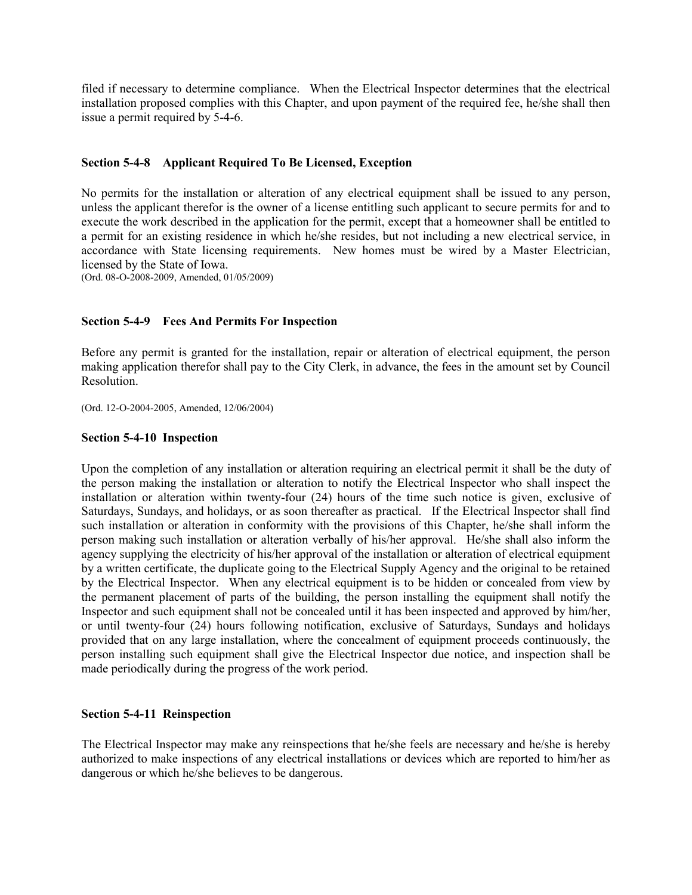filed if necessary to determine compliance. When the Electrical Inspector determines that the electrical installation proposed complies with this Chapter, and upon payment of the required fee, he/she shall then issue a permit required by 5-4-6.

## **Section 5-4-8 Applicant Required To Be Licensed, Exception**

No permits for the installation or alteration of any electrical equipment shall be issued to any person, unless the applicant therefor is the owner of a license entitling such applicant to secure permits for and to execute the work described in the application for the permit, except that a homeowner shall be entitled to a permit for an existing residence in which he/she resides, but not including a new electrical service, in accordance with State licensing requirements. New homes must be wired by a Master Electrician, licensed by the State of Iowa.

(Ord. 08-O-2008-2009, Amended, 01/05/2009)

## **Section 5-4-9 Fees And Permits For Inspection**

Before any permit is granted for the installation, repair or alteration of electrical equipment, the person making application therefor shall pay to the City Clerk, in advance, the fees in the amount set by Council Resolution.

(Ord. 12-O-2004-2005, Amended, 12/06/2004)

#### **Section 5-4-10 Inspection**

Upon the completion of any installation or alteration requiring an electrical permit it shall be the duty of the person making the installation or alteration to notify the Electrical Inspector who shall inspect the installation or alteration within twenty-four (24) hours of the time such notice is given, exclusive of Saturdays, Sundays, and holidays, or as soon thereafter as practical. If the Electrical Inspector shall find such installation or alteration in conformity with the provisions of this Chapter, he/she shall inform the person making such installation or alteration verbally of his/her approval. He/she shall also inform the agency supplying the electricity of his/her approval of the installation or alteration of electrical equipment by a written certificate, the duplicate going to the Electrical Supply Agency and the original to be retained by the Electrical Inspector. When any electrical equipment is to be hidden or concealed from view by the permanent placement of parts of the building, the person installing the equipment shall notify the Inspector and such equipment shall not be concealed until it has been inspected and approved by him/her, or until twenty-four (24) hours following notification, exclusive of Saturdays, Sundays and holidays provided that on any large installation, where the concealment of equipment proceeds continuously, the person installing such equipment shall give the Electrical Inspector due notice, and inspection shall be made periodically during the progress of the work period.

#### **Section 5-4-11 Reinspection**

The Electrical Inspector may make any reinspections that he/she feels are necessary and he/she is hereby authorized to make inspections of any electrical installations or devices which are reported to him/her as dangerous or which he/she believes to be dangerous.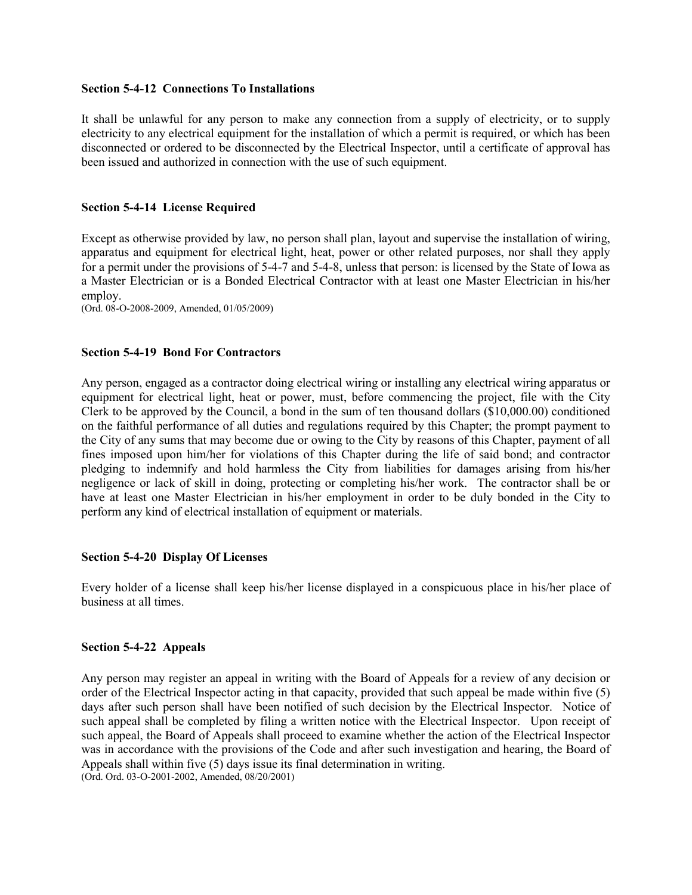#### **Section 5-4-12 Connections To Installations**

It shall be unlawful for any person to make any connection from a supply of electricity, or to supply electricity to any electrical equipment for the installation of which a permit is required, or which has been disconnected or ordered to be disconnected by the Electrical Inspector, until a certificate of approval has been issued and authorized in connection with the use of such equipment.

## **Section 5-4-14 License Required**

Except as otherwise provided by law, no person shall plan, layout and supervise the installation of wiring, apparatus and equipment for electrical light, heat, power or other related purposes, nor shall they apply for a permit under the provisions of 5-4-7 and 5-4-8, unless that person: is licensed by the State of Iowa as a Master Electrician or is a Bonded Electrical Contractor with at least one Master Electrician in his/her employ.

(Ord. 08-O-2008-2009, Amended, 01/05/2009)

## **Section 5-4-19 Bond For Contractors**

Any person, engaged as a contractor doing electrical wiring or installing any electrical wiring apparatus or equipment for electrical light, heat or power, must, before commencing the project, file with the City Clerk to be approved by the Council, a bond in the sum of ten thousand dollars (\$10,000.00) conditioned on the faithful performance of all duties and regulations required by this Chapter; the prompt payment to the City of any sums that may become due or owing to the City by reasons of this Chapter, payment of all fines imposed upon him/her for violations of this Chapter during the life of said bond; and contractor pledging to indemnify and hold harmless the City from liabilities for damages arising from his/her negligence or lack of skill in doing, protecting or completing his/her work. The contractor shall be or have at least one Master Electrician in his/her employment in order to be duly bonded in the City to perform any kind of electrical installation of equipment or materials.

## **Section 5-4-20 Display Of Licenses**

Every holder of a license shall keep his/her license displayed in a conspicuous place in his/her place of business at all times.

#### **Section 5-4-22 Appeals**

Any person may register an appeal in writing with the Board of Appeals for a review of any decision or order of the Electrical Inspector acting in that capacity, provided that such appeal be made within five (5) days after such person shall have been notified of such decision by the Electrical Inspector. Notice of such appeal shall be completed by filing a written notice with the Electrical Inspector. Upon receipt of such appeal, the Board of Appeals shall proceed to examine whether the action of the Electrical Inspector was in accordance with the provisions of the Code and after such investigation and hearing, the Board of Appeals shall within five (5) days issue its final determination in writing. (Ord. Ord. 03-O-2001-2002, Amended, 08/20/2001)